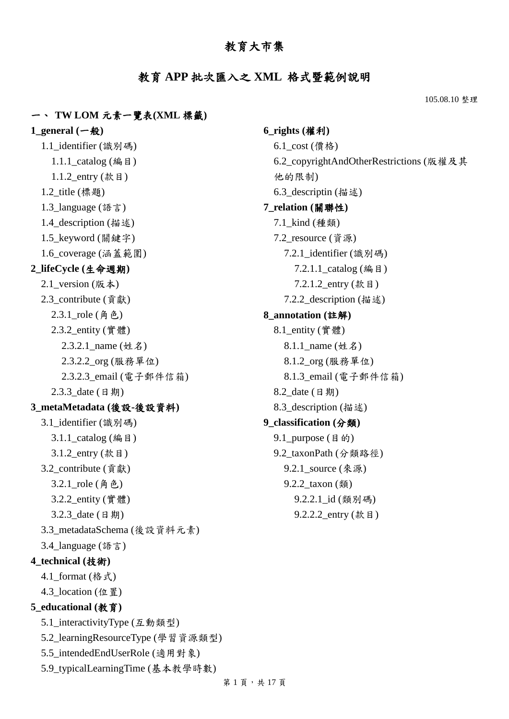### 教育大市集

### 教育 **APP** 批次匯入之 **XML** 格式暨範例說明

105.08.10 整理

### 一、 **TW LOM** 元素一覽表**(XML** 標籤**)**

 $1$ **general**  $(-$  般 1.1 identifier (識別碼) 1.1.1\_catalog (編目) 1.1.2\_entry (款目) 1.2 title (標題) 1.3\_language (語言) 1.4\_description (描述) 1.5\_keyword (關鍵字) 1.6\_coverage (涵蓋範圍) **2\_lifeCycle (**生命週期**)** 2.1\_version (版本) 2.3\_contribute (貢獻) 2.3.1\_role (角色) 2.3.2\_entity (實體) 2.3.2.1\_name (姓名) 2.3.2.2\_org (服務單位) 2.3.2.3\_email (電子郵件信箱) 2.3.3 date (日期) **3\_metaMetadata (**後設**-**後設資料**)** 3.1\_identifier (識別碼) 3.1.1\_catalog (編目) 3.1.2\_entry (款目) 3.2\_contribute (貢獻) 3.2.1 role (角色) 3.2.2\_entity (實體) 3.2.3\_date (日期) 3.3\_metadataSchema (後設資料元素) 3.4\_language (語言) **4\_technical (**技術**)** 4.1 format (格式) 4.3 location (位置) **5\_educational (**教育**)** 5.1 interactivityType (互動類型) 5.2 learningResourceType (學習資源類型) 5.5\_intendedEndUserRole (適用對象) 5.9\_typicalLearningTime (基本教學時數)

**6\_rights (**權利**)** 6.1\_cost (價格) 6.2\_copyrightAndOtherRestrictions (版權及其 他的限制) 6.3\_descriptin (描述) **7\_relation (**關聯性**)** 7.1\_kind (種類) 7.2\_resource (資源) 7.2.1\_identifier (識別碼) 7.2.1.1\_catalog (編目) 7.2.1.2\_entry (款目) 7.2.2\_description (描述) **8\_annotation (**註解**)** 8.1\_entity (實體) 8.1.1\_name (姓名) 8.1.2\_org (服務單位) 8.1.3\_email (電子郵件信箱) 8.2 date (日期) 8.3\_description (描述) **9\_classification (**分類**)** 9.1\_purpose (目的) 9.2 taxonPath (分類路徑) 9.2.1\_source (來源) 9.2.2 taxon (類) 9.2.2.1\_id (類別碼) 9.2.2.2\_entry (款目)

#### 第1頁,共17頁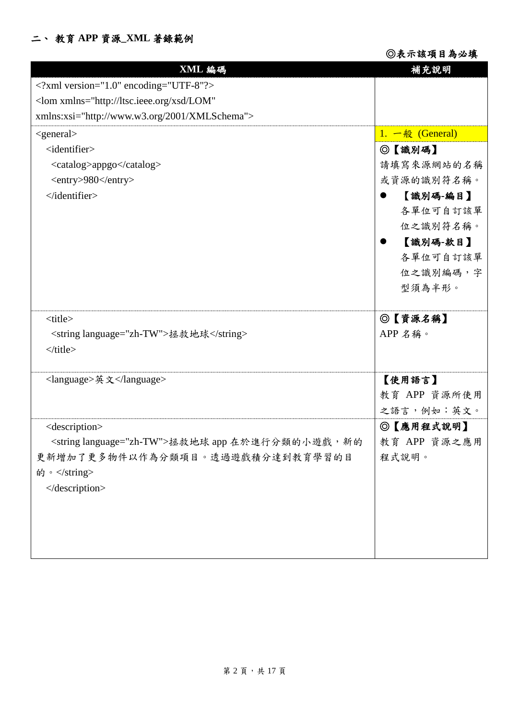◎表示該項目為必填

| XML 編碼                                                                                       | 補充說明                                  |
|----------------------------------------------------------------------------------------------|---------------------------------------|
| $\langle$ ?xml version="1.0" encoding="UTF-8"?>                                              |                                       |
| <lom <="" td="" xmlns="http://ltsc.ieee.org/xsd/LOM"><td></td></lom>                         |                                       |
| xmlns:xsi="http://www.w3.org/2001/XMLSchema">                                                |                                       |
| $<$ general $>$                                                                              | 1. $-\frac{1}{\mathcal{R}}$ (General) |
| <identifier></identifier>                                                                    | ◎【識別碼】                                |
| <catalog>appgo</catalog>                                                                     | 請填寫來源網站的名稱                            |
| <entry>980</entry>                                                                           | 或資源的識別符名稱。                            |
| $\triangle$ /identifier>                                                                     | 【識別碼-編目】                              |
|                                                                                              | 各單位可自訂該單                              |
|                                                                                              | 位之識別符名稱。                              |
|                                                                                              | 【識別碼-款目】                              |
|                                                                                              | 各單位可自訂該單                              |
|                                                                                              | 位之識別編碼,字                              |
|                                                                                              | 型須為半形。                                |
|                                                                                              |                                       |
| <title></title>                                                                              | ◎【資源名稱】                               |
| <string language="zh-TW">拯救地球</string>                                                       | APP 名稱。                               |
| $\langle$ title>                                                                             |                                       |
|                                                                                              |                                       |
| <language>英文</language>                                                                      | 【使用語言】                                |
|                                                                                              | 教育 APP 資源所使用<br>之語言,例如:英文。            |
|                                                                                              | ◎【應用程式說明】                             |
| <description></description>                                                                  |                                       |
| <string language="zh-TW">拯救地球 app 在於進行分類的小遊戲,新的<br/>更新增加了更多物件以作為分類項目。透過遊戲積分達到教育學習的目</string> | 教育 APP 資源之應用<br>程式說明。                 |
| 的。                                                                                           |                                       |
|                                                                                              |                                       |
|                                                                                              |                                       |
|                                                                                              |                                       |
|                                                                                              |                                       |
|                                                                                              |                                       |
|                                                                                              |                                       |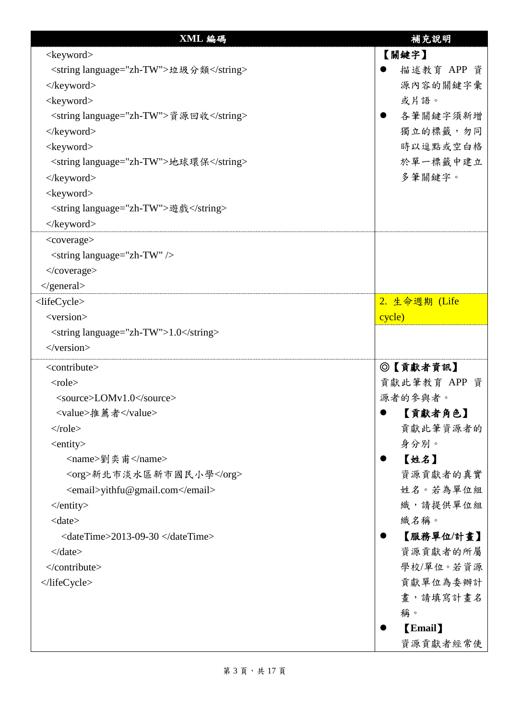| XML 編碼                                 | 補充說明           |
|----------------------------------------|----------------|
| <keyword></keyword>                    | 【關鍵字】          |
| <string language="zh-TW">垃圾分類</string> | 描述教育 APP 資     |
| $\langle$ keyword>                     | 源內容的關鍵字彙       |
| <keyword></keyword>                    | 或片語。           |
| <string language="zh-TW">資源回收</string> | 各筆關鍵字須新增       |
| $\langle$ keyword $\rangle$            | 獨立的標籤,勿同       |
| <keyword></keyword>                    | 時以逗點或空白格       |
| <string language="zh-TW">地球環保</string> | 於單一標籤中建立       |
| $\langle$ keyword $\rangle$            | 多筆關鍵字。         |
| <keyword></keyword>                    |                |
| <string language="zh-TW">遊戲</string>   |                |
| $\langle$ keyword $\rangle$            |                |
| <coverage></coverage>                  |                |
| $\le$ string language="zh-TW" $\ge$    |                |
| $\langle$ /coverage>                   |                |
| $\langle$ general>                     |                |
| $\langle$ lifeCycle>                   | 2. 生命週期 (Life  |
| <version></version>                    | cycle)         |
| <string language="zh-TW">1.0</string>  |                |
| $\langle /version \rangle$             |                |
| <contribute></contribute>              | ◎【貢獻者資訊】       |
| $<$ role $>$                           | 貢獻此筆教育 APP 資   |
| <source/> LOMv1.0                      | 源者的參與者。        |
| <value>推薦者</value>                     | 【貢獻者角色】        |
| $\langle$ role>                        | 貢獻此筆資源者的       |
| <entity></entity>                      | 身分別。           |
| <name>劉奕甫</name>                       | 【姓名】           |
| <org>新北市淡水區新市國民小學</org>                | 資源貢獻者的真實       |
| <email>yithfu@gmail.com</email>        | 姓名。若為單位組       |
| $\langle$ entity>                      | 織,請提供單位組       |
| $<$ date $>$                           | 織名稱。           |
| <datetime>2013-09-30 </datetime>       | 【服務單位/計畫】      |
| $\langle$ date>                        | 資源貢獻者的所屬       |
|                                        | 學校/單位。若資源      |
| $\triangle$ lifeCycle>                 | 貢獻單位為委辦計       |
|                                        | 畫,請填寫計畫名       |
|                                        | 稱。             |
|                                        | <b>(Email)</b> |
|                                        | 資源貢獻者經常使       |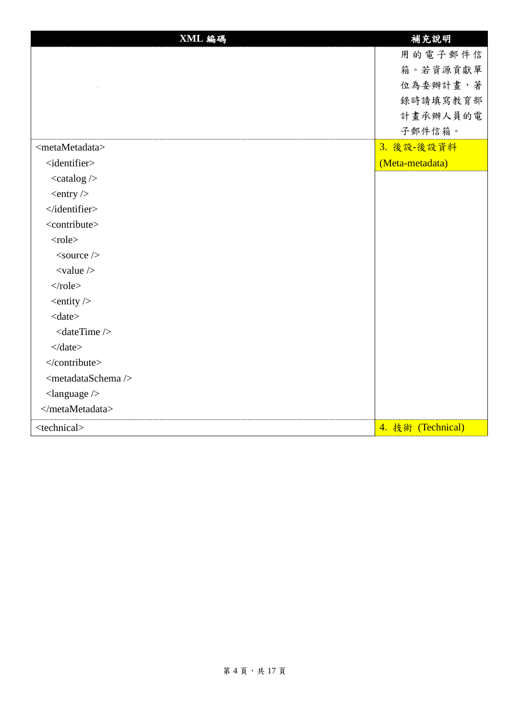| XML 編碼                               | 補充說明              |
|--------------------------------------|-------------------|
|                                      | 用的電子郵件信           |
|                                      | 箱。若資源貢獻單          |
|                                      | 位為委辦計畫,著          |
|                                      | 錄時請填寫教育部          |
|                                      | 計畫承辦人員的電          |
|                                      | 子郵件信箱。            |
| <metametadata></metametadata>        | 3. 後設-後設資料        |
| <identifier></identifier>            | (Meta-metadata)   |
| $\langle$ catalog $\rangle$          |                   |
| $\langle$ entry $\rangle$            |                   |
| $\triangle$ /identifier>             |                   |
| <contribute></contribute>            |                   |
| $<$ role $>$                         |                   |
| $\langle$ source $\rangle$           |                   |
| $\langle$ value $\rangle$            |                   |
| $\langle$ role>                      |                   |
| $\le$ entity $\ge$                   |                   |
| $<$ date $>$                         |                   |
| <datetime></datetime>                |                   |
| $\langle$ date>                      |                   |
| $\langle$ /contribute>               |                   |
| <metadataschema></metadataschema>    |                   |
| $\langle$ language $\langle \rangle$ |                   |
|                                      |                   |
| <technical></technical>              | 4. 技術 (Technical) |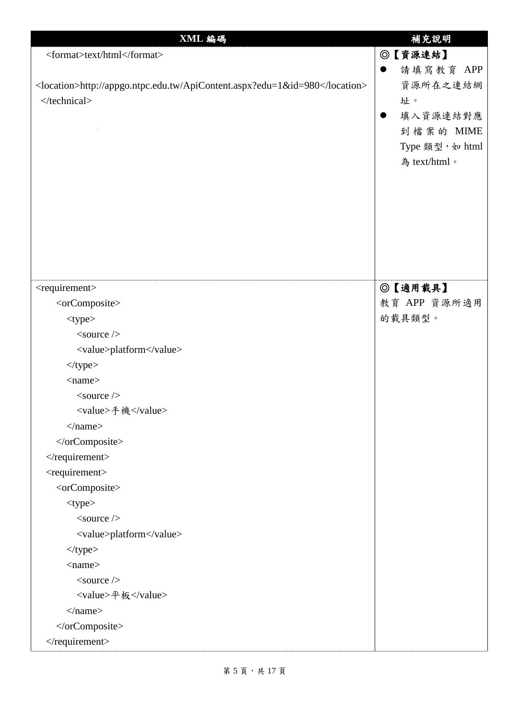| ◎【資源連結】<br><format>text/html</format><br>請填寫教育 APP<br>$\bullet$<br>資源所在之連結網<br><location>http://appgo.ntpc.edu.tw/ApiContent.aspx?edu=1&amp;id=980</location><br><br>址。<br>填入資源連結對應<br>$\bullet$<br>到檔案的 MIME<br>Type 類型, 如 html<br>為 text/html。 |
|--------------------------------------------------------------------------------------------------------------------------------------------------------------------------------------------------------------------------------------------------|
|                                                                                                                                                                                                                                                  |
|                                                                                                                                                                                                                                                  |
|                                                                                                                                                                                                                                                  |
|                                                                                                                                                                                                                                                  |
|                                                                                                                                                                                                                                                  |
|                                                                                                                                                                                                                                                  |
|                                                                                                                                                                                                                                                  |
|                                                                                                                                                                                                                                                  |
|                                                                                                                                                                                                                                                  |
|                                                                                                                                                                                                                                                  |
|                                                                                                                                                                                                                                                  |
|                                                                                                                                                                                                                                                  |
|                                                                                                                                                                                                                                                  |
|                                                                                                                                                                                                                                                  |
|                                                                                                                                                                                                                                                  |
| ◎【適用載具】<br><requirement></requirement>                                                                                                                                                                                                           |
| 教育 APP 資源所適用<br><orcomposite></orcomposite>                                                                                                                                                                                                      |
| 的載具類型。<br><type></type>                                                                                                                                                                                                                          |
| $\langle$ source $\rangle$                                                                                                                                                                                                                       |
| <value>platform</value>                                                                                                                                                                                                                          |
| $\langle$ type>                                                                                                                                                                                                                                  |
| $<$ name $>$                                                                                                                                                                                                                                     |
| $\langle$ source $\rangle$                                                                                                                                                                                                                       |
| <value>手機</value>                                                                                                                                                                                                                                |
| $<$ /name $>$                                                                                                                                                                                                                                    |
|                                                                                                                                                                                                                                                  |
| $\langle$ requirement>                                                                                                                                                                                                                           |
| <requirement></requirement>                                                                                                                                                                                                                      |
| <orcomposite></orcomposite>                                                                                                                                                                                                                      |
| <type></type>                                                                                                                                                                                                                                    |
| $\langle$ source $\rangle$                                                                                                                                                                                                                       |
| <value>platform</value>                                                                                                                                                                                                                          |
| $\langle$ type>                                                                                                                                                                                                                                  |
| $<$ name $>$                                                                                                                                                                                                                                     |
| $\langle$ source $\rangle$                                                                                                                                                                                                                       |
| <value>平板</value>                                                                                                                                                                                                                                |
| $<$ /name>                                                                                                                                                                                                                                       |
|                                                                                                                                                                                                                                                  |
| $\langle$ requirement>                                                                                                                                                                                                                           |

## 第 5 頁, 共 17 頁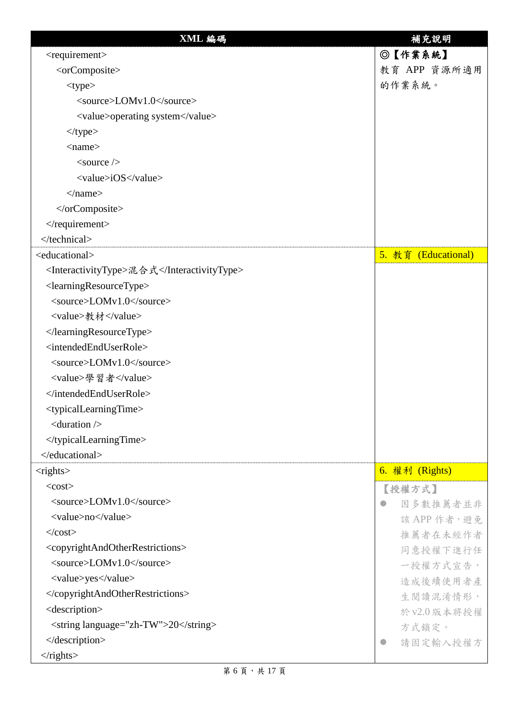| XML 編碼                                                          | 補充說明                |
|-----------------------------------------------------------------|---------------------|
| <requirement></requirement>                                     | ◎【作業系統】             |
| <orcomposite></orcomposite>                                     | 教育 APP 資源所適用        |
| <type></type>                                                   | 的作業系統。              |
| <source/> LOMv1.0                                               |                     |
| <value>operating system</value>                                 |                     |
| $\langle$ type $\rangle$                                        |                     |
| $<$ name $>$                                                    |                     |
| $\langle$ source $\rangle$                                      |                     |
| <value>iOS</value>                                              |                     |
| $<$ /name $>$                                                   |                     |
|                                                                 |                     |
| $\langle$ requirement>                                          |                     |
| $\langle$ technical>                                            |                     |
| <educational></educational>                                     | 5. 教育 (Educational) |
| <interactivitytype>混合式</interactivitytype>                      |                     |
| <learningresourcetype></learningresourcetype>                   |                     |
| <source/> LOMv1.0                                               |                     |
| <value>教材</value>                                               |                     |
|                                                                 |                     |
| <intendedenduserrole></intendedenduserrole>                     |                     |
| <source/> LOMv1.0                                               |                     |
| <value>學習者</value>                                              |                     |
|                                                                 |                     |
| <typicallearningtime></typicallearningtime>                     |                     |
| $\alpha$ <duration <math="">\beta</duration>                    |                     |
|                                                                 |                     |
| $\triangleleft$ /educational>                                   |                     |
| $<$ rights $>$                                                  | 6. 權利 (Rights)      |
| $<$ cost $>$                                                    | 【授權方式】              |
| <source/> LOMv1.0                                               | 因多數推薦者並非            |
| <value>no</value>                                               | 該 APP 作者,避免         |
| $\langle\text{cost}\rangle$                                     | 推薦者在未經作者            |
| <copyrightandotherrestrictions></copyrightandotherrestrictions> | 同意授權下進行任            |
| <source/> LOMv1.0                                               | 一授權方式宣告,            |
| <value>yes</value>                                              | 造成後續使用者產            |
|                                                                 | 生閱讀混淆情形,            |
| <description></description>                                     | 於 v2.0 版本將授權        |
| <string language="zh-TW">20</string>                            | 方式鎖定。               |
|                                                                 | 請固定輸入授權方            |
| $\langle$ rights>                                               |                     |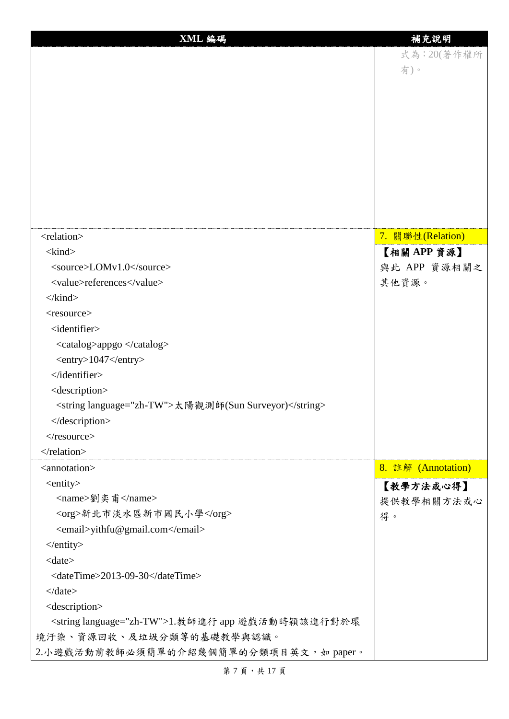| XML 編碼                                                    | 補充說明               |
|-----------------------------------------------------------|--------------------|
|                                                           | 式為:20(著作權所         |
|                                                           | 有)。                |
|                                                           |                    |
|                                                           |                    |
|                                                           |                    |
|                                                           |                    |
|                                                           |                    |
|                                                           |                    |
|                                                           |                    |
|                                                           |                    |
|                                                           |                    |
|                                                           |                    |
| <relation></relation>                                     | 7. 關聯性(Relation)   |
| $\langle$ kind $\rangle$                                  | 【相關 APP 資源】        |
| <source/> LOMv1.0                                         | 與此 APP 資源相關之       |
| <value>references</value>                                 | 其他資源。              |
| $\langle$ kind $\rangle$                                  |                    |
| <resource></resource>                                     |                    |
| <identifier></identifier>                                 |                    |
| <catalog>appgo </catalog>                                 |                    |
| $\langle entry>1047$                                      |                    |
| $\triangle$ /identifier>                                  |                    |
| <description></description>                               |                    |
| <string language="zh-TW">太陽觀測師(Sun Surveyor)</string>     |                    |
| $\triangle$ description>                                  |                    |
| $\langle$ resource>                                       |                    |
|                                                           |                    |
| <annotation></annotation>                                 | 8. 註解 (Annotation) |
| <entity></entity>                                         | 【教學方法或心得】          |
| <name>劉奕甫</name>                                          | 提供教學相關方法或心         |
| <org>新北市淡水區新市國民小學</org>                                   | 得。                 |
| <email>yithfu@gmail.com</email>                           |                    |
| $\langle$ entity>                                         |                    |
| $<$ date $>$                                              |                    |
| <datetime>2013-09-30</datetime>                           |                    |
| $\langle$ date>                                           |                    |
| <description></description>                               |                    |
| <string language="zh-TW">1.教師進行 app 遊戲活動時穎該進行對於環</string> |                    |
| 境汙染、資源回收、及垃圾分類等的基礎教學與認識。                                  |                    |
| 2.小遊戲活動前教師必須簡單的介紹幾個簡單的分類項目英文,如 paper。                     |                    |

第 7 頁, 共 17 頁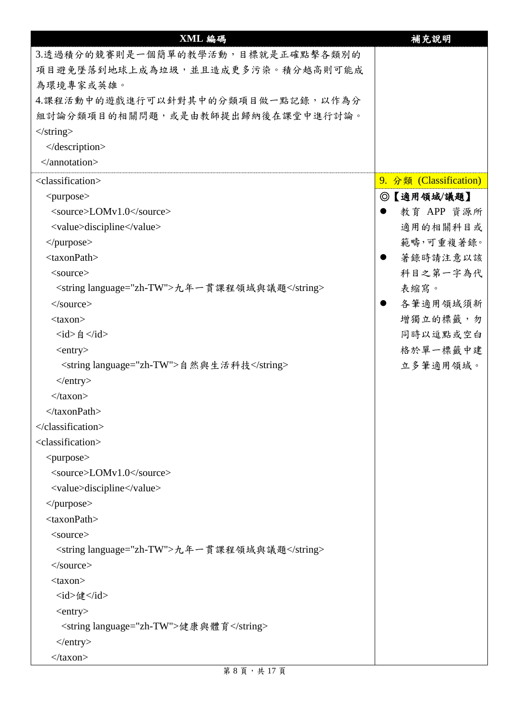| XML 編碼                                        | 補充說明                   |
|-----------------------------------------------|------------------------|
| 3.透過積分的競賽則是一個簡單的教學活動,目標就是正確點擊各類別的             |                        |
| 項目避免墜落到地球上成為垃圾,並且造成更多污染。積分越高則可能成              |                        |
| 為環境專家或英雄。                                     |                        |
| 4.課程活動中的遊戲進行可以針對其中的分類項目做一點記錄,以作為分             |                        |
| 組討論分類項目的相關問題,或是由教師提出歸納後在課堂中進行討論。              |                        |
| $\langle$ string>                             |                        |
| $\triangle$ description>                      |                        |
|                                               |                        |
| <classification></classification>             | 9. 分類 (Classification) |
| <purpose></purpose>                           | ◎【適用領域/議題】             |
| <source/> LOMv1.0                             | 教育 APP 資源所             |
| <value>discipline</value>                     | 適用的相關科目或               |
| $<$ /purpose>                                 | 範疇,可重複著錄。              |
| <taxonpath></taxonpath>                       | 著錄時請注意以該               |
| <source/>                                     | 科目之第一字為代               |
| <string language="zh-TW">九年一貫課程領域與議題</string> | 表縮寫。                   |
| $\langle$ source>                             | 各筆適用領域須新<br>$\bullet$  |
| $<$ taxon $>$                                 | 增獨立的標籤,勿               |
| $\langle id \rangle$ 自 $\langle id \rangle$   | 同時以逗點或空白               |
| $\langle entry \rangle$                       | 格於單一標籤中建               |
| <string language="zh-TW">自然與生活科技</string>     | 立多筆適用領域。               |
| $\langle$ entry $\rangle$                     |                        |
| $\langle$ taxon>                              |                        |
|                                               |                        |
|                                               |                        |
| <classification></classification>             |                        |
| <purpose></purpose>                           |                        |
| $<$ source>LOMv1.0 $<$ /source>               |                        |
| <value>discipline</value>                     |                        |
| $<$ /purpose>                                 |                        |
| $<$ taxonPath>                                |                        |
| <source/>                                     |                        |
| <string language="zh-TW">九年一貫課程領域與議題</string> |                        |
| $\langle$ source>                             |                        |
| <taxon></taxon>                               |                        |
| <id>健</id>                                    |                        |
| $\langle entry \rangle$                       |                        |
| <string language="zh-TW">健康與體育</string>       |                        |
| $\langle$ entry $\rangle$                     |                        |
| $\langle$ taxon>                              |                        |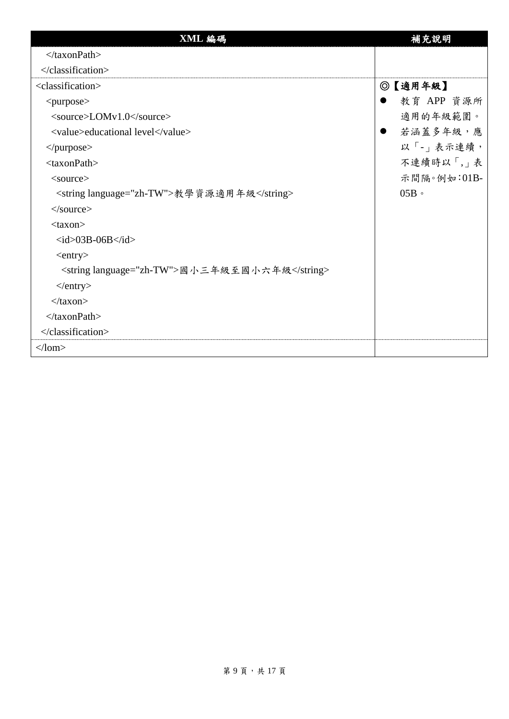| XML 編碼                                        | 補充說明        |
|-----------------------------------------------|-------------|
| $\langle$ taxonPath>                          |             |
|                                               |             |
| <classification></classification>             | ◎【適用年級】     |
| <purpose></purpose>                           | 教育 APP 資源所  |
| $<$ source>LOMv1.0 $<$ /source>               | 適用的年級範圍。    |
| <value>educational level</value>              | 若涵蓋多年級,應    |
| $<$ /purpose>                                 | 以「-」表示連續,   |
| $<$ taxonPath>                                | 不連續時以「,」表   |
| $<$ source $>$                                | 示間隔。例如:01B- |
| <string language="zh-TW">教學資源適用年級</string>    | $05B \circ$ |
| $\langle$ source $\rangle$                    |             |
| <taxon></taxon>                               |             |
| $\langle$ id>03B-06B $\langle$ id>            |             |
| $\langle entry \rangle$                       |             |
| <string language="zh-TW">國小三年級至國小六年級</string> |             |
| $\langle$ entry>                              |             |
| $\langle$ taxon>                              |             |
| $\langle$ taxonPath>                          |             |
|                                               |             |
| $\langle$ lom>                                |             |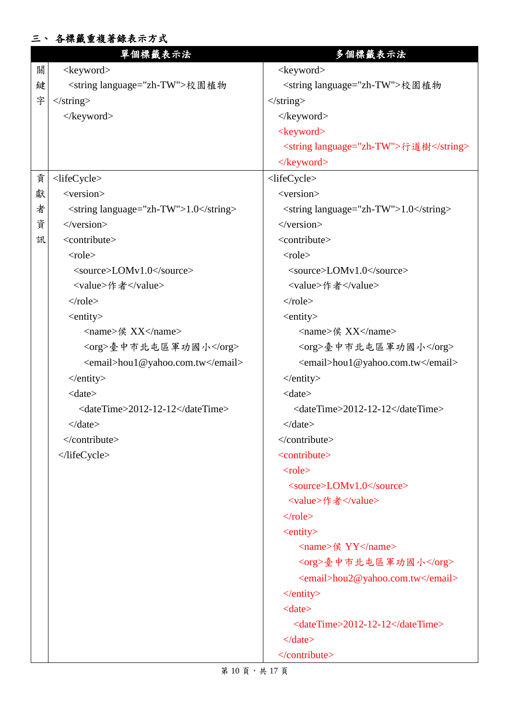## 三、 各標籤重複著錄表示方式

| 單個標籤表示法 |                                        | 多個標籤表示法                                |  |
|---------|----------------------------------------|----------------------------------------|--|
| 關       | <keyword></keyword>                    | <keyword></keyword>                    |  |
| 鍵       | <string language="zh-TW">校園植物</string> | <string language="zh-TW">校園植物</string> |  |
| 字       | $\langle$ string>                      | $\langle$ string>                      |  |
|         | $\langle$ keyword $\rangle$            | $\langle$ keyword $\rangle$            |  |
|         |                                        | <keyword></keyword>                    |  |
|         |                                        | <string language="zh-TW">行道樹</string>  |  |
|         |                                        | $\langle$ keyword $\rangle$            |  |
| 貢       | <lifecycle></lifecycle>                | $\langle$ lifeCycle>                   |  |
| 獻       | <version></version>                    | <version></version>                    |  |
| 者       | <string language="zh-TW">1.0</string>  | <string language="zh-TW">1.0</string>  |  |
| 資       | $\langle/version \rangle$              | $\langle/version \rangle$              |  |
| 訊       | <contribute></contribute>              | <contribute></contribute>              |  |
|         | $<$ role $>$                           | $<$ role $>$                           |  |
|         | <source/> LOMv1.0                      | <source/> LOMv1.0                      |  |
|         | <value>作者</value>                      | <value>作者</value>                      |  |
|         | $\langle$ role $>$                     | $\langle$ role>                        |  |
|         | $\le$ entity $>$                       | <entity></entity>                      |  |
|         | <name>侯 XX</name>                      | <name>侯 XX</name>                      |  |
|         | <org>臺中市北屯區軍功國小</org>                  | <org>臺中市北屯區軍功國小</org>                  |  |
|         | <email>hou1@yahoo.com.tw</email>       | <email>hou1@yahoo.com.tw</email>       |  |
|         | $\langle$ entity>                      | $\langle$ entity>                      |  |
|         | <date></date>                          | <date></date>                          |  |
|         | <datetime>2012-12-12</datetime>        | <datetime>2012-12-12</datetime>        |  |
|         | $\langle$ date $>$                     | $\langle$ date $>$                     |  |
|         | $\langle$ /contribute>                 | $\langle$ /contribute>                 |  |
|         |                                        | <contribute></contribute>              |  |
|         |                                        | $<$ role $>$                           |  |
|         |                                        | $<$ source>LOMv1.0 $<$ /source>        |  |
|         |                                        | <value>作者</value>                      |  |
|         |                                        | $\langle$ role>                        |  |
|         |                                        | <entity></entity>                      |  |
|         |                                        | <name>侯 YY</name>                      |  |
|         |                                        | <org>臺中市北屯區軍功國小</org>                  |  |
|         |                                        | <email>hou2@yahoo.com.tw</email>       |  |
|         |                                        | $\langle$ entity>                      |  |
|         |                                        | $\langle date \rangle$                 |  |
|         |                                        | <datetime>2012-12-12</datetime>        |  |
|         |                                        | $\langle$ date $>$                     |  |
|         |                                        | $\triangle$ /contribute>               |  |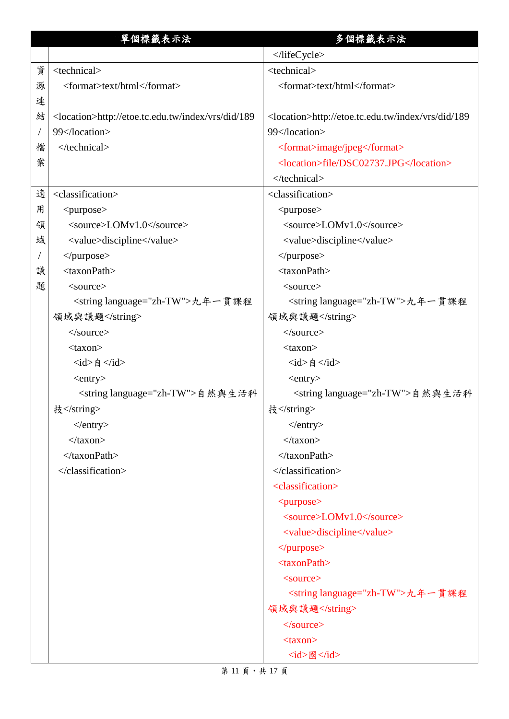|   | 單個標籤表示法                                                      | 多個標籤表示法                                                      |
|---|--------------------------------------------------------------|--------------------------------------------------------------|
|   |                                                              |                                                              |
| 資 | <technical></technical>                                      | <technical></technical>                                      |
| 源 | <format>text/html</format>                                   | <format>text/html</format>                                   |
| 連 |                                                              |                                                              |
| 結 | <location>http://etoe.tc.edu.tw/index/vrs/did/189</location> | <location>http://etoe.tc.edu.tw/index/vrs/did/189</location> |
|   | 99                                                           | 99                                                           |
| 檔 |                                                              | <format>image/jpeg</format>                                  |
| 案 |                                                              | <location>file/DSC02737.JPG</location>                       |
|   |                                                              |                                                              |
| 適 | <classification></classification>                            | <classification></classification>                            |
| 用 | <purpose></purpose>                                          | <purpose></purpose>                                          |
| 領 | <source/> LOMv1.0                                            | <source/> LOMv1.0                                            |
| 域 | <value>discipline</value>                                    | <value>discipline</value>                                    |
|   | $<$ /purpose>                                                |                                                              |
| 議 | $<$ taxonPath>                                               | <taxonpath></taxonpath>                                      |
| 題 | $<$ source $>$                                               | $<$ source $>$                                               |
|   | <string language="zh-TW">九年一貫課程</string>                     | <string language="zh-TW">九年一貫課程</string>                     |
|   | 領域與議題                                                        | 領域與議題                                                        |
|   | $\langle$ source>                                            | $\langle$ source>                                            |
|   | <taxon></taxon>                                              | <taxon></taxon>                                              |
|   | <id>自</id>                                                   | $\langle id \rangle$ 自 $\langle id \rangle$                  |
|   | $\langle entry \rangle$                                      | $\langle entry \rangle$                                      |
|   | <string language="zh-TW">自然與生活科</string>                     | <string language="zh-TW">自然與生活科</string>                     |
|   | 技                                                            | 技                                                            |
|   | $\langle$ entry $\rangle$                                    | $\langle$ entry $\rangle$                                    |
|   | $\langle$ taxon>                                             | $\langle$ taxon>                                             |
|   |                                                              |                                                              |
|   |                                                              |                                                              |
|   |                                                              | <classification></classification>                            |
|   |                                                              | <purpose></purpose>                                          |
|   |                                                              | <source/> LOMv1.0                                            |
|   |                                                              | <value>discipline</value>                                    |
|   |                                                              | $<$ /purpose>                                                |
|   |                                                              | <taxonpath></taxonpath>                                      |
|   |                                                              | $<$ source $>$                                               |
|   |                                                              | <string language="zh-TW">九年一貫課程</string>                     |
|   |                                                              | 領域與議題                                                        |
|   |                                                              | $\langle$ source $\rangle$                                   |
|   |                                                              | $<$ taxon $>$                                                |
|   |                                                              | $\langle id \rangle$ 國 $\langle id \rangle$                  |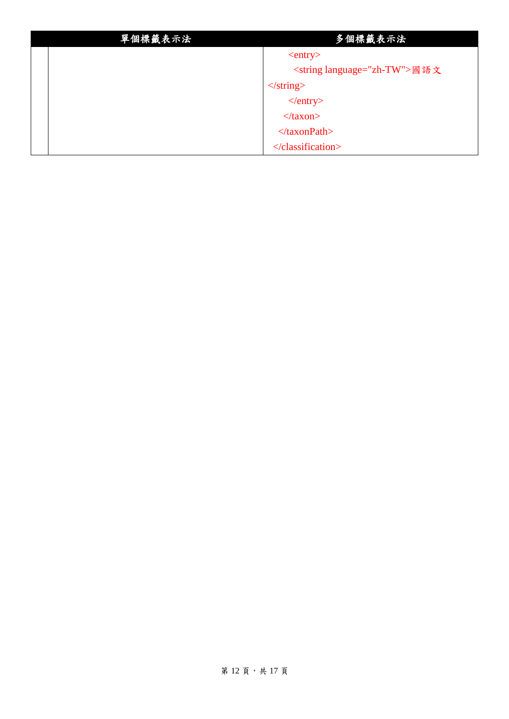| 單個標籤表示法 | 多個標籤表示法                               |
|---------|---------------------------------------|
|         | $\langle entry \rangle$               |
|         | <string language="zh-TW">國語文</string> |
|         | $\langle$ string>                     |
|         | $\langle$ entry $\rangle$             |
|         | $\langle$ taxon>                      |
|         | $\langle$ taxonPath>                  |
|         | $\langle$ /classification>            |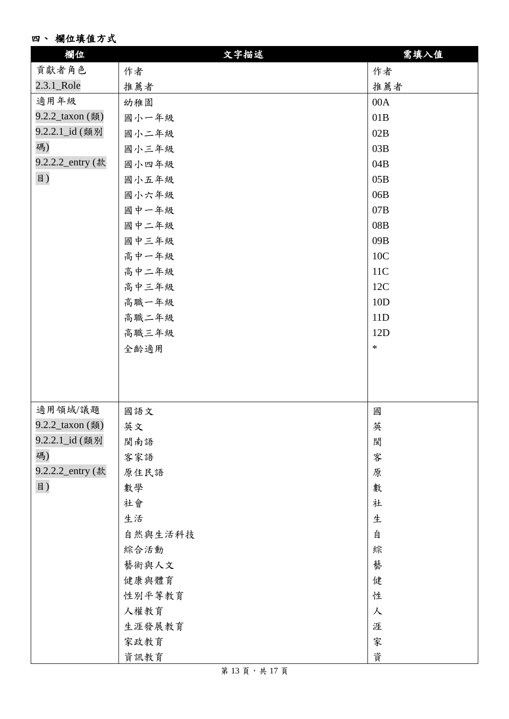四、 欄位填值方式

| 欄位               | 文字描述    | 需填入值   |
|------------------|---------|--------|
| 貢獻者角色            | 作者      | 作者     |
| 2.3.1_Role       | 推薦者     | 推薦者    |
| 適用年級             | 幼稚園     | 00A    |
| 9.2.2_taxon (類)  | 國小一年級   | 01B    |
| 9.2.2.1_id (類別   | 國小二年級   | 02B    |
| 碼)               | 國小三年級   | 03B    |
| 9.2.2.2_entry (款 | 國小四年級   | 04B    |
| 目)               | 國小五年級   | 05B    |
|                  | 國小六年級   | 06B    |
|                  | 國中一年級   | 07B    |
|                  | 國中二年級   | 08B    |
|                  | 國中三年級   | 09B    |
|                  | 高中一年級   | 10C    |
|                  | 高中二年級   | 11C    |
|                  | 高中三年級   | 12C    |
|                  | 高職一年級   | 10D    |
|                  | 高職二年級   | 11D    |
|                  | 高職三年級   | 12D    |
|                  | 全齡適用    | $\ast$ |
|                  |         |        |
|                  |         |        |
|                  |         |        |
| 適用領域/議題          | 國語文     | 國      |
| 9.2.2_taxon (類)  | 英文      | 英      |
| 9.2.2.1_id (類別   | 閩南語     | 閩      |
| 碼)               | 客家語     | 客      |
| 9.2.2.2_entry (款 | 原住民語    | 原      |
| 目)               | 數學      | 數      |
|                  | 社會      | 社      |
|                  | 生活      | 生      |
|                  | 自然與生活科技 | 自      |
|                  | 綜合活動    | 綜      |
|                  | 藝術與人文   | 藝      |
|                  | 健康與體育   | 健      |
|                  | 性別平等教育  | 性      |
|                  | 人權教育    | 人      |
|                  | 生涯發展教育  | 涯      |
|                  | 家政教育    | 家      |
|                  | 資訊教育    | 資      |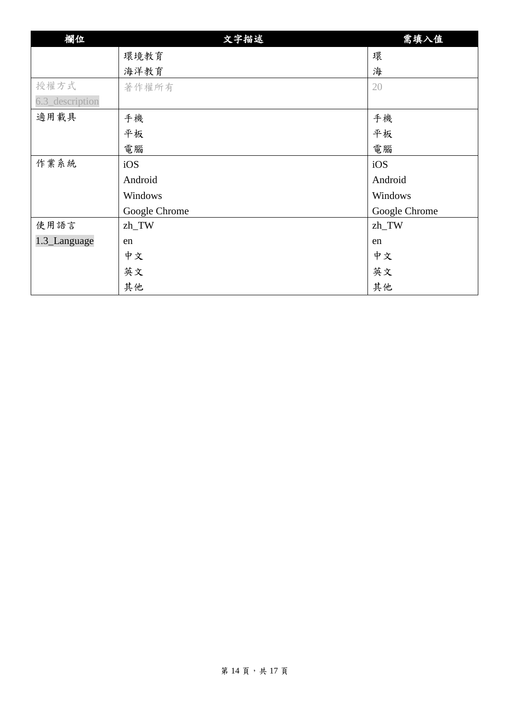| 欄位              | 文字描述          | 需填入值          |
|-----------------|---------------|---------------|
|                 | 環境教育          | 環             |
|                 | 海洋教育          | 海             |
| 授權方式            | 著作權所有         | 20            |
| 6.3_description |               |               |
| 適用載具            | 手機            | 手機            |
|                 | 平板            | 平板            |
|                 | 電腦            | 電腦            |
| 作業系統            | iOS           | iOS           |
|                 | Android       | Android       |
|                 | Windows       | Windows       |
|                 | Google Chrome | Google Chrome |
| 使用語言            | zh_TW         | zh_TW         |
| 1.3_Language    | en            | en            |
|                 | 中文            | 中文            |
|                 | 英文            | 英文            |
|                 | 其他            | 其他            |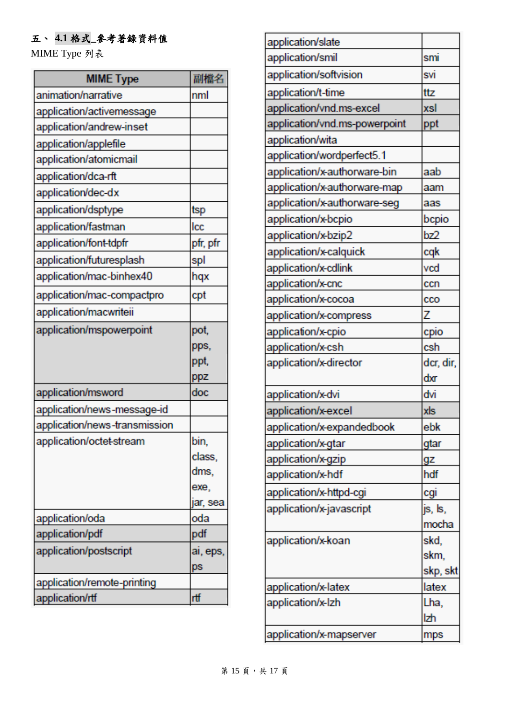# 五、 **4.1** 格式**\_**參考著錄資料值

**MIME Type 列表** 

| <b>MIME Type</b>              | 副檔名      |
|-------------------------------|----------|
| animation/narrative           | nml      |
| application/activemessage     |          |
| application/andrew-inset      |          |
| application/applefile         |          |
| application/atomicmail        |          |
| application/dca-rft           |          |
| application/dec-dx            |          |
| application/dsptype           | tsp      |
| application/fastman           | Icc      |
| application/font-tdpfr        | pfr, pfr |
| application/futuresplash      | spl      |
| application/mac-binhex40      | hqx      |
| application/mac-compactpro    | cpt      |
| application/macwriteii        |          |
| application/mspowerpoint      | pot,     |
|                               | pps,     |
|                               | ppt,     |
|                               | ppz      |
| application/msword            | doc      |
| application/news-message-id   |          |
| application/news-transmission |          |
| application/octet-stream      | bin,     |
|                               | class,   |
|                               | dms.     |
|                               | exe.     |
|                               | jar, sea |
| application/oda               | oda      |
| application/pdf               | pdf      |
| application/postscript        | ai, eps, |
|                               | ps       |
| application/remote-printing   |          |
| application/rtf               | rtf      |

| application/slate             |           |
|-------------------------------|-----------|
| application/smil              | smi       |
| application/softvision        | svi       |
| application/t-time            | ttz       |
| application/vnd.ms-excel      | xsl       |
| application/vnd.ms-powerpoint | ppt       |
| application/wita              |           |
| application/wordperfect5.1    |           |
| application/x-authorware-bin  | aab       |
| application/x-authorware-map  | aam       |
| application/x-authorware-seg  | aas       |
| application/x-bcpio           | bcpio     |
| application/x-bzip2           | bz2       |
| application/x-calquick        | cqk       |
| application/x-cdlink          | vcd       |
| application/x-cnc             | ccn       |
| application/x-cocoa           | cco       |
| application/x-compress        | Z         |
| application/x-cpio            | cpio      |
| application/x-csh             | csh       |
| application/x-director        | dcr, dir, |
|                               | dxr       |
| application/x-dvi             | dvi       |
| application/x-excel           | xls       |
| application/x-expandedbook    | ebk       |
| application/x-gtar            | gtar      |
| application/x-gzip            | gz        |
| application/x-hdf             | hdf       |
| application/x-httpd-cgi       | cgi       |
| application/x-javascript      | js, ls,   |
|                               | mocha     |
| application/x-koan            | skd,      |
|                               | skm,      |
|                               | skp, skt  |
| application/x-latex           | latex     |
| application/x-Izh             | Lha,      |
|                               | lzh       |
| application/x-mapserver       | mps       |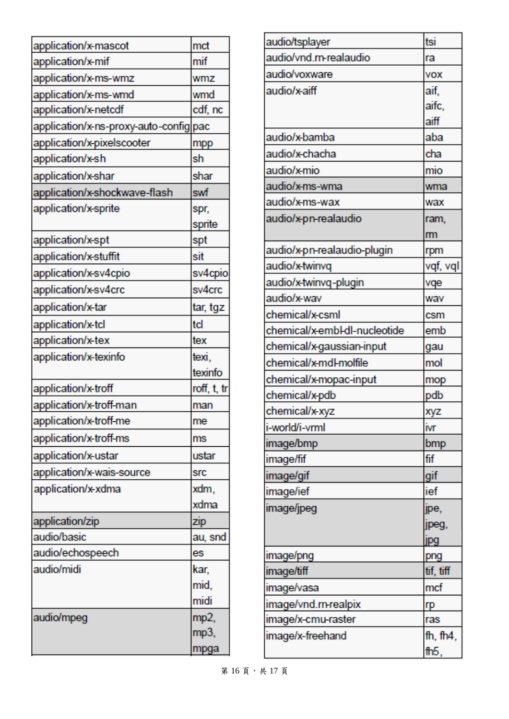| application/x-mascot                   | mct         |
|----------------------------------------|-------------|
| application/x-mif                      | mif         |
| application/x-ms-wmz                   | wmz         |
| application/x-ms-wmd                   | wmd         |
| application/x-netcdf                   | cdf, nc     |
| application/x-ns-proxy-auto-config pac |             |
| application/x-pixelscooter             | mpp         |
| application/x-sh                       | sh          |
| application/x-shar                     | shar        |
| application/x-shockwave-flash          | swf         |
| application/x-sprite                   | spr,        |
|                                        | sprite      |
| application/x-spt                      | spt         |
| application/x-stuffit                  | sit         |
| application/x-sv4cpio                  | sv4cpio     |
| application/x-sv4crc                   | sv4crc      |
| application/x-tar                      | tar, tgz    |
| application/x-tcl                      | td          |
| application/x-tex                      | tex         |
| application/x-texinfo                  | texi,       |
|                                        | texinfo     |
| application/x-troff                    | roff, t, tr |
| application/x-troff-man                | man         |
| application/x-troff-me                 | me          |
| application/x-troff-ms                 | ms          |
| application/x-ustar                    | ustar       |
| application/x-wais-source              | <b>SFC</b>  |
| application/x-xdma                     | xdm,        |
|                                        | xdma        |
| application/zip                        | zip         |
| audio/basic                            | au, snd     |
| audio/echospeech                       | es          |
| audio/midi                             | kar.        |
|                                        | mid,        |
|                                        | midi        |
| audio/mpeg                             | mp2,        |
|                                        | mp3,        |
|                                        | mpga        |

| audio/tsplayer                | tsi        |
|-------------------------------|------------|
| audio/vnd.rn-realaudio        | ra         |
| audio/voxware                 | <b>VOX</b> |
| audio/x-aiff                  | aif,       |
|                               | aifc.      |
|                               | aiff       |
| audio/x-bamba                 | aba        |
| audio/x-chacha                | cha        |
| audio/x-mio                   | mio        |
| audio/x-ms-wma                | wma        |
| audio/x-ms-wax                | wax        |
| audio/x-pn-realaudio          | ram,       |
|                               | m          |
| audio/x-pn-realaudio-plugin   | rpm        |
| audio/x-twinvq                | vqf, vql   |
| audio/x-twinvq-plugin         | vqe        |
| audio/x-wav                   | wav        |
| chemical/x-csml               | csm        |
| chemical/x-embl-dl-nucleotide | emb        |
| chemical/x-gaussian-input     | gau        |
| chemical/x-mdl-molfile        | mol        |
| chemical/x-mopac-input        | mop        |
| chemical/x-pdb                | pdb        |
| chemical/x-xyz                | xyz        |
| i-world/i-vrml                | ivr        |
| image/bmp                     | bmp        |
| image/fif                     | fif        |
| image/gif                     | gif        |
| image/ief                     | ief        |
| image/jpeg                    | jpe,       |
|                               | jpeg,      |
|                               | jpg        |
| image/png                     | png        |
| image/tiff                    | tif, tiff  |
| image/vasa                    | mcf        |
| image/vnd.rn-realpix          | rp         |
| image/x-cmu-raster            | ras        |
| image/x-freehand              | fh, fh4,   |
|                               | fh5,       |